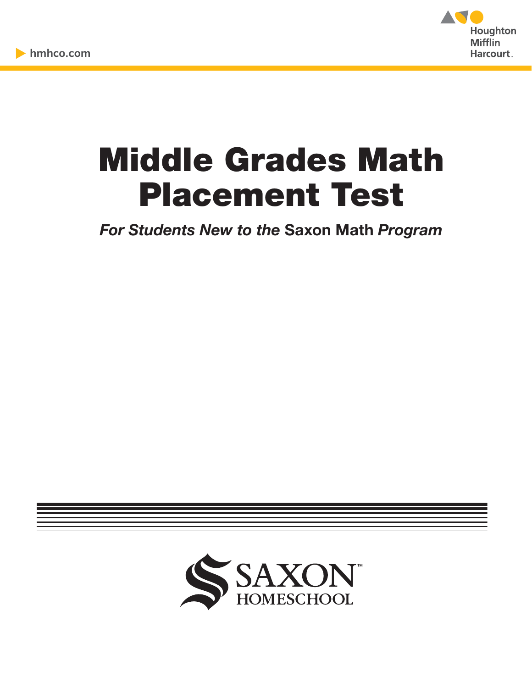

# Middle Grades Math Placement Test

*For Students New to the* **Saxon Math** *Program*

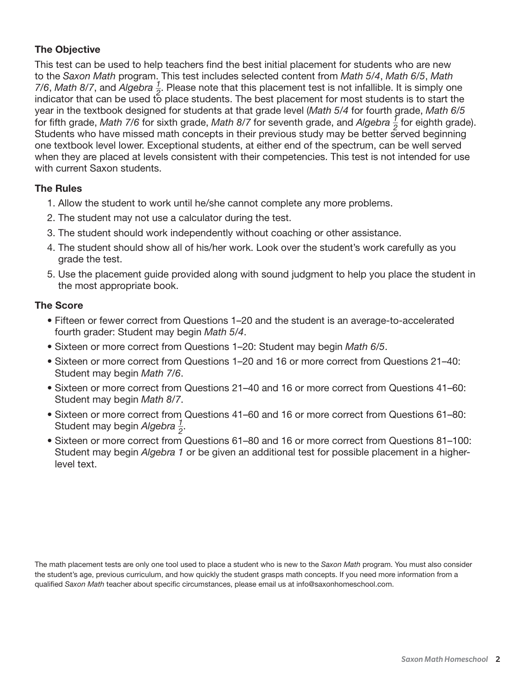### **The Objective**

This test can be used to help teachers find the best initial placement for students who are new to the *Saxon Math* program. This test includes selected content from *Math 5/4*, *Math 6/5*, *Math 7/6*, *Math 8/7*, and *Algebra*  $\frac{1}{2}$  $\frac{7}{2}$ . Please note that this placement test is not infallible. It is simply one indicator that can be used to place students. The best placement for most students is to start the year in the textbook designed for students at that grade level (*Math 5/4* for fourth grade, *Math 6/5* for fifth grade, *Math 7/6* for sixth grade, *Math 8/7* for seventh grade, and *Algebra*  $\frac{1}{2}$  $\frac{7}{2}$  for eighth grade). Students who have missed math concepts in their previous study may be better served beginning one textbook level lower. Exceptional students, at either end of the spectrum, can be well served when they are placed at levels consistent with their competencies. This test is not intended for use with current Saxon students.

#### **The Rules**

- 1. Allow the student to work until he/she cannot complete any more problems.
- 2. The student may not use a calculator during the test.
- 3. The student should work independently without coaching or other assistance.
- 4. The student should show all of his/her work. Look over the student's work carefully as you grade the test.
- 5. Use the placement guide provided along with sound judgment to help you place the student in the most appropriate book.

#### **The Score**

- Fifteen or fewer correct from Questions 1–20 and the student is an average-to-accelerated fourth grader: Student may begin *Math 5/4*.
- Sixteen or more correct from Questions 1–20: Student may begin *Math 6/5*.
- Sixteen or more correct from Questions 1–20 and 16 or more correct from Questions 21–40: Student may begin *Math 7/6*.
- Sixteen or more correct from Questions 21–40 and 16 or more correct from Questions 41–60: Student may begin *Math 8/7*.
- Sixteen or more correct from Questions 41–60 and 16 or more correct from Questions 61–80: Student may begin *Algebra \_\_ 1*  $\frac{1}{2}$ .
- Sixteen or more correct from Questions 61–80 and 16 or more correct from Questions 81–100: Student may begin *Algebra 1* or be given an additional test for possible placement in a higherlevel text.

The math placement tests are only one tool used to place a student who is new to the *Saxon Math* program. You must also consider the student's age, previous curriculum, and how quickly the student grasps math concepts. If you need more information from a qualified *Saxon Math* teacher about specific circumstances, please email us at info@saxonhomeschool.com.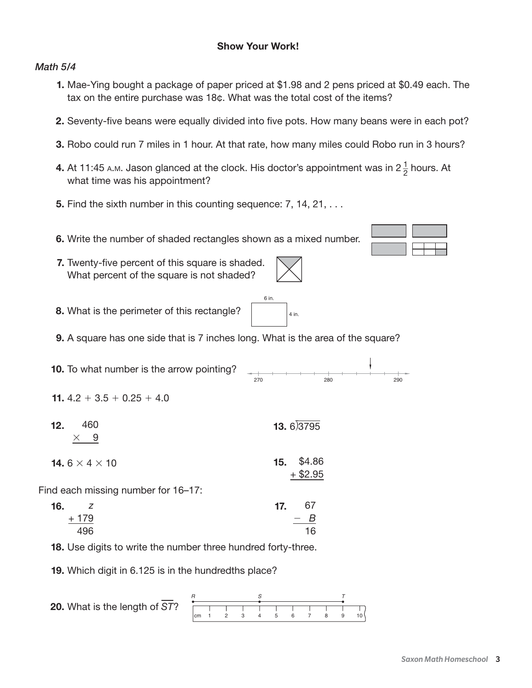#### *Math 5/4*

- **1.** Mae-Ying bought a package of paper priced at \$1.98 and 2 pens priced at \$0.49 each. The tax on the entire purchase was 18¢. What was the total cost of the items?
- **2.** Seventy-five beans were equally divided into five pots. How many beans were in each pot?
- **3.** Robo could run 7 miles in 1 hour. At that rate, how many miles could Robo run in 3 hours?
- **4.** At 11:45 A.M. Jason glanced at the clock. His doctor's appointment was in 2 $\frac{1}{2}$  $\frac{1}{2}$  hours. At what time was his appointment?
	- **5.** Find the sixth number in this counting sequence: 7, 14, 21, ...
	- **6.** Write the number of shaded rectangles shown as a mixed number.
	- **7.** Twenty-five percent of this square is shaded. What percent of the square is not shaded?

 $4$  in

 $6$  in.

 **8.** What is the perimeter of this rectangle?

 **9.** A square has one side that is 7 inches long. What is the area of the square?

 **10.** To what number is the arrow pointing? 270 280 280 290 **11.**  $4.2 + 3.5 + 0.25 + 4.0$  **12.** 460  $\times$  9  **13.** 6)3795 **14.**  $6 \times 4 \times 10$  **15.**  $$4.86$ + \$2.95 Find each missing number for 16–17:  **16.** *z*

| i.    | 17. | 67    |
|-------|-----|-------|
| + 179 |     | $-$ B |
| 496   |     | 16    |

 **18.** Use digits to write the number three hundred forty-three.

 **19.** Which digit in 6.125 is in the hundredths place?

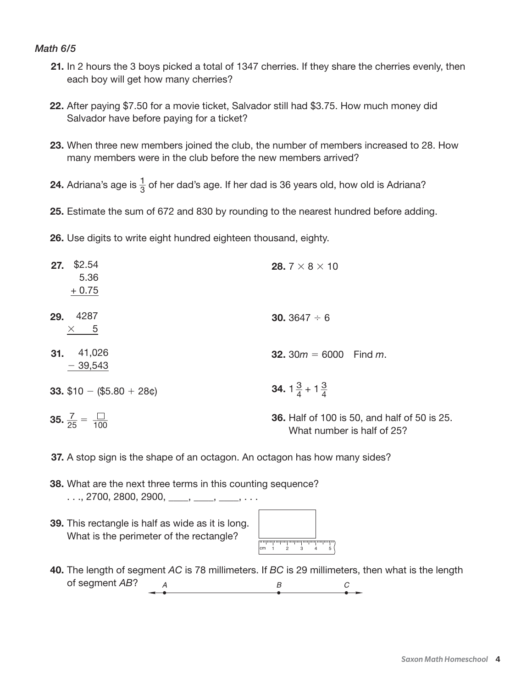#### *Math 6/5*

- **21.** In 2 hours the 3 boys picked a total of 1347 cherries. If they share the cherries evenly, then each boy will get how many cherries?
- **22.** After paying \$7.50 for a movie ticket, Salvador still had \$3.75. How much money did Salvador have before paying for a ticket?
- **23.** When three new members joined the club, the number of members increased to 28. How many members were in the club before the new members arrived?
- **24.** Adriana's age is  $\frac{1}{2}$  $\frac{1}{3}$  of her dad's age. If her dad is 36 years old, how old is Adriana?
	- **25.** Estimate the sum of 672 and 830 by rounding to the nearest hundred before adding.
	- **26.** Use digits to write eight hundred eighteen thousand, eighty.

| \$2.54<br>27.<br>5.36<br>$+0.75$          | 28.7 $\times$ 8 $\times$ 10                                                       |
|-------------------------------------------|-----------------------------------------------------------------------------------|
| 4287<br>29.<br>$\times$ 5                 | <b>30.</b> 3647 $\div$ 6                                                          |
| 41,026<br>31.<br>$-39,543$                | <b>32.</b> 30 $m = 6000$ Find $m$ .                                               |
| 33. $$10 - ($5.80 + 28\phi)$              | <b>34.</b> $1\frac{3}{4}$ + $1\frac{3}{4}$                                        |
| <b>35.</b> $\frac{7}{25} = \frac{1}{100}$ | <b>36.</b> Half of 100 is 50, and half of 50 is 25.<br>What number is half of 25? |

- **37.** A stop sign is the shape of an octagon. An octagon has how many sides?
- **38.** What are the next three terms in this counting sequence? . . ., 2700, 2800, 2900, \_\_\_\_, \_\_\_, \_\_\_, . . . .
- **39.** This rectangle is half as wide as it is long. What is the perimeter of the rectangle?

| сm | $\overline{c}$ | $\mathcal{L}$ | <u>aalaahaahaahaahaahaahaahaa</u> | րու<br>5 |  |
|----|----------------|---------------|-----------------------------------|----------|--|
|    |                |               |                                   |          |  |

 **40.** The length of segment *AC* is 78 millimeters. If *BC* is 29 millimeters, then what is the length of segment *AB*?  $\overline{A}$  *B*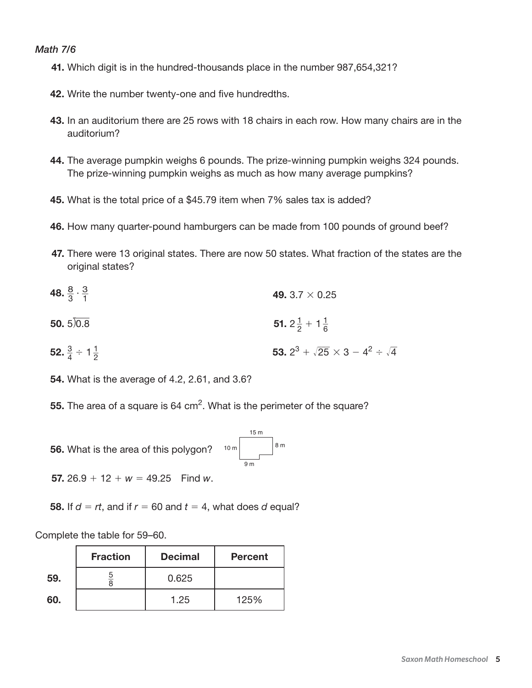#### *Math 7/6*

- **41.** Which digit is in the hundred-thousands place in the number 987,654,321?
- **42.** Write the number twenty-one and five hundredths.
- **43.** In an auditorium there are 25 rows with 18 chairs in each row. How many chairs are in the auditorium?
- **44.** The average pumpkin weighs 6 pounds. The prize-winning pumpkin weighs 324 pounds. The prize-winning pumpkin weighs as much as how many average pumpkins?
- **45.** What is the total price of a \$45.79 item when 7% sales tax is added?
- **46.** How many quarter-pound hamburgers can be made from 100 pounds of ground beef?
- **47.** There were 13 original states. There are now 50 states. What fraction of the states are the original states?
- **48.**  $\frac{8}{3}$  $\frac{8}{3} \cdot \frac{3}{1}$ 1 **49.** 3.7 × 0.25 **50.**  $5\overline{)0.8}$  **51.**  $2\frac{1}{2}$  $\frac{1}{2}$  + 1 $\frac{1}{6}$  $\frac{1}{6}$ **52.**  $\frac{3}{4}$  $\frac{3}{4} \div 1\frac{1}{2}$ **53.**  $2^3 + \sqrt{25} \times 3 - 4^2 \div \sqrt{4}$ 
	- **54.** What is the average of 4.2, 2.61, and 3.6?
	- **55.** The area of a square is 64 cm<sup>2</sup>. What is the perimeter of the square?
	- **56.** What is the area of this polygon?  $15<sub>m</sub>$ 8<sub>m</sub> 9 m  $10<sub>m</sub>$

**57.**  $26.9 + 12 + w = 49.25$  Find *w*.

**58.** If  $d = rt$ , and if  $r = 60$  and  $t = 4$ , what does  $d$  equal?

Complete the table for 59–60.

2

|     | <b>Fraction</b> | <b>Decimal</b> | <b>Percent</b> |
|-----|-----------------|----------------|----------------|
| 59. |                 | 0.625          |                |
| 60. |                 | 1.25           | 125%           |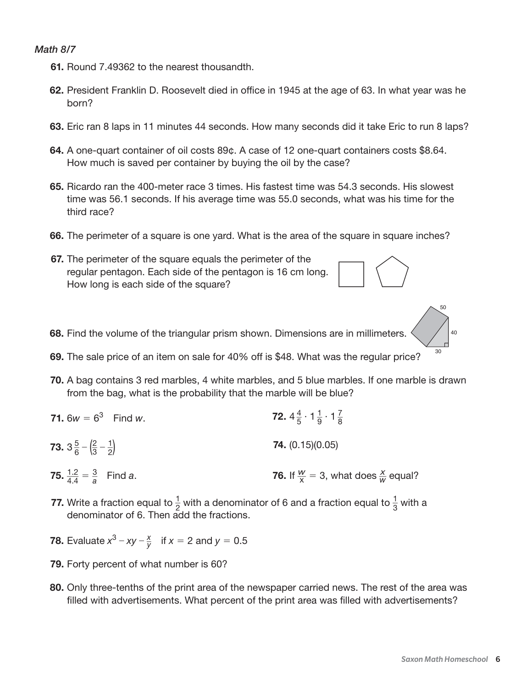#### *Math 8/7*

- **61.** Round 7.49362 to the nearest thousandth.
- **62.** President Franklin D. Roosevelt died in office in 1945 at the age of 63. In what year was he born?
- **63.** Eric ran 8 laps in 11 minutes 44 seconds. How many seconds did it take Eric to run 8 laps?
- **64.** A one-quart container of oil costs 89¢. A case of 12 one-quart containers costs \$8.64. How much is saved per container by buying the oil by the case?
- **65.** Ricardo ran the 400-meter race 3 times. His fastest time was 54.3 seconds. His slowest time was 56.1 seconds. If his average time was 55.0 seconds, what was his time for the third race?
- **66.** The perimeter of a square is one yard. What is the area of the square in square inches?
- **67.** The perimeter of the square equals the perimeter of the regular pentagon. Each side of the pentagon is 16 cm long. How long is each side of the square?
- **68.** Find the volume of the triangular prism shown. Dimensions are in millimeters.
- **69.** The sale price of an item on sale for 40% off is \$48. What was the regular price?
- **70.** A bag contains 3 red marbles, 4 white marbles, and 5 blue marbles. If one marble is drawn from the bag, what is the probability that the marble will be blue?
- **71.**  $6w = 6^3$  Find *w*. 4  $\frac{4}{5} \cdot 1\frac{1}{9}$  $\frac{1}{9} \cdot 1 \frac{7}{8}$  $\frac{7}{8}$ **73.**  $3\frac{5}{6}$  $rac{5}{6} - \left(\frac{2}{3}\right)$  $\frac{2}{3} - \frac{1}{2}$ 2 ) **74.** (0.15)(0.05) **75.**  $\frac{1.2}{4.4} = \frac{3}{a}$ *a* Find *a*. **76.** If  $\frac{w}{x} = 3$ , what does  $\frac{x}{w}$  equal?
- **77.** Write a fraction equal to  $\frac{1}{2}$  $\frac{1}{2}$  with a denominator of 6 and a fraction equal to  $\frac{1}{3}$  $\frac{1}{3}$  with a denominator of 6. Then add the fractions.
- **78.** Evaluate  $x^3 xy \frac{x}{y}$  if  $x = 2$  and  $y = 0.5$ 
	- **79.** Forty percent of what number is 60?
	- **80.** Only three-tenths of the print area of the newspaper carried news. The rest of the area was filled with advertisements. What percent of the print area was filled with advertisements?

30

50

40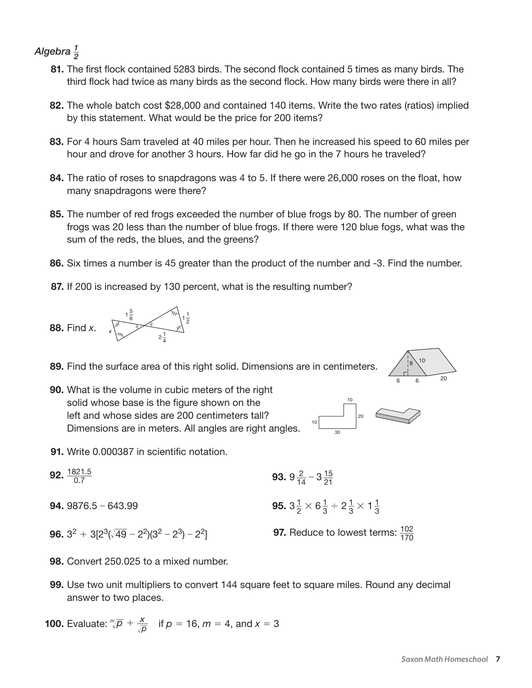#### *Algebra \_\_ 1*  $\frac{1}{2}$

- **81.** The first flock contained 5283 birds. The second flock contained 5 times as many birds. The third flock had twice as many birds as the second flock. How many birds were there in all?
- **82.** The whole batch cost \$28,000 and contained 140 items. Write the two rates (ratios) implied by this statement. What would be the price for 200 items?
- **83.** For 4 hours Sam traveled at 40 miles per hour. Then he increased his speed to 60 miles per hour and drove for another 3 hours. How far did he go in the 7 hours he traveled?
- **84.** The ratio of roses to snapdragons was 4 to 5. If there were 26,000 roses on the float, how many snapdragons were there?
- **85.** The number of red frogs exceeded the number of blue frogs by 80. The number of green frogs was 20 less than the number of blue frogs. If there were 120 blue fogs, what was the sum of the reds, the blues, and the greens?
- **86.** Six times a number is 45 greater than the product of the number and -3. Find the number.
- **87.** If 200 is increased by 130 percent, what is the resulting number?



 **89.** Find the surface area of this right solid. Dimensions are in centimeters.



 **90.** What is the volume in cubic meters of the right solid whose base is the figure shown on the left and whose sides are 200 centimeters tall? Dimensions are in meters. All angles are right angles.



- **91.** Write 0.000387 in scientific notation.
- **92.**  $\frac{1821.5}{0.7}$ 
	- **94.** 9876.5 643.99
- $\frac{321.5}{0.7}$  **93.**  $9\frac{2}{14} 3\frac{15}{21}$ 1  $\frac{1}{2} \times 6\frac{1}{3}$  $\frac{1}{3} \div 2\frac{1}{3}$  $\frac{1}{3} \times 1\frac{1}{3}$  $\frac{1}{3}$
- **96.**  $3^2 + 3[2^3(\sqrt{49})]$
- $\overline{49} 2^2(3^2 2^3) 2^2$  **97.** Reduce to lowest terms:  $\frac{102}{170}$ 
	- **98.** Convert 250.025 to a mixed number.
	- **99.** Use two unit multipliers to convert 144 square feet to square miles. Round any decimal answer to two places.

**100.** Evaluate:  $\sqrt[m]{p} + \frac{x}{\sqrt{p}}$  $\frac{x}{\sqrt{p}}$  if  $p = 16$ ,  $m = 4$ , and  $x = 3$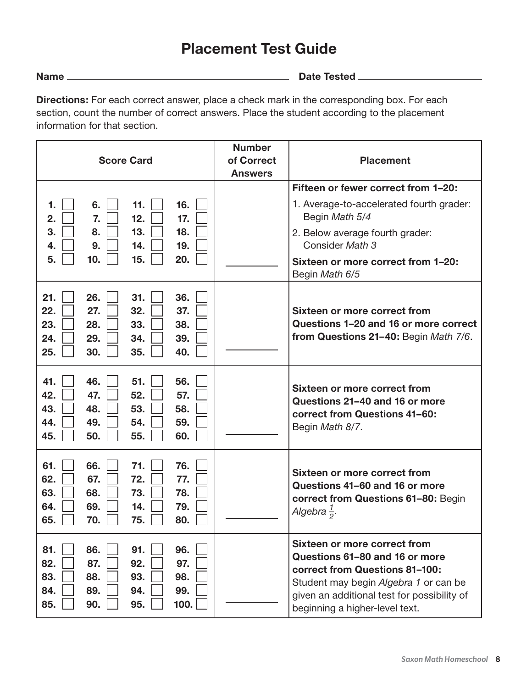## **Placement Test Guide**

**Name Date Tested** 

**Directions:** For each correct answer, place a check mark in the corresponding box. For each section, count the number of correct answers. Place the student according to the placement information for that section.

| <b>Score Card</b>                                                                                                                         | <b>Number</b><br>of Correct<br><b>Answers</b> | <b>Placement</b>                                                                                                                                                                                                           |
|-------------------------------------------------------------------------------------------------------------------------------------------|-----------------------------------------------|----------------------------------------------------------------------------------------------------------------------------------------------------------------------------------------------------------------------------|
|                                                                                                                                           |                                               | Fifteen or fewer correct from 1-20:                                                                                                                                                                                        |
| 16.<br>6.<br>11.<br>1.<br>12.<br>7.<br>17.<br>2.                                                                                          |                                               | 1. Average-to-accelerated fourth grader:<br>Begin Math 5/4                                                                                                                                                                 |
| 13.<br>18.<br>3.<br>8.<br>9.<br>14.<br>19.<br>4.                                                                                          |                                               | 2. Below average fourth grader:<br>Consider Math 3                                                                                                                                                                         |
| 15.<br>10.<br>20.<br>5.                                                                                                                   |                                               | Sixteen or more correct from 1-20:<br>Begin Math 6/5                                                                                                                                                                       |
| 21.<br>26.<br>31.<br>36.<br>22.<br>32.<br>37.<br>27.<br>23.<br>28.<br>33.<br>38.<br>24.<br>29.<br>34.<br>39.<br>25.<br>30.<br>35.<br>40.  |                                               | Sixteen or more correct from<br>Questions 1-20 and 16 or more correct<br>from Questions 21-40: Begin Math 7/6.                                                                                                             |
| 56.<br>41.<br>46.<br>51.<br>52.<br>42.<br>47.<br>57.<br>43.<br>48.<br>53.<br>58.<br>44.<br>49.<br>54.<br>59.<br>45.<br>50.<br>55.<br>60.  |                                               | Sixteen or more correct from<br>Questions 21-40 and 16 or more<br>correct from Questions 41-60:<br>Begin Math 8/7.                                                                                                         |
| 71.<br>76.<br>61.<br>66.<br>62.<br>67.<br>72.<br>77.<br>63.<br>68.<br>73.<br>78.<br>69.<br>14.<br>79.<br>64.<br>65.<br>70.<br>75.<br>80.  |                                               | <b>Sixteen or more correct from</b><br>Questions 41-60 and 16 or more<br>correct from Questions 61-80: Begin<br>Algebra $\frac{1}{2}$ .                                                                                    |
| 96.<br>81.<br>86.<br>91.<br>82.<br>87.<br>92.<br>97.<br>83.<br>93.<br>88.<br>98.<br>99.<br>84.<br>89.<br>94.<br>85.<br>90.<br>95.<br>100. |                                               | Sixteen or more correct from<br>Questions 61-80 and 16 or more<br>correct from Questions 81-100:<br>Student may begin Algebra 1 or can be<br>given an additional test for possibility of<br>beginning a higher-level text. |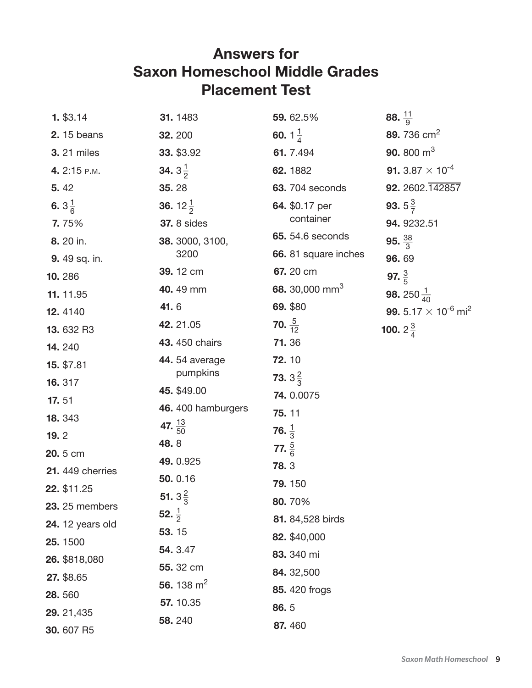## **Answers for Saxon Homeschool Middle Grades Placement Test**

| 1. \$3.14               | 31.1483                     | 59.62.5%                   | 88. $\frac{11}{9}$                        |
|-------------------------|-----------------------------|----------------------------|-------------------------------------------|
| <b>2.</b> 15 beans      | 32.200                      | 60. $1\frac{1}{4}$         | 89.736 cm <sup>2</sup>                    |
| <b>3.</b> 21 miles      | 33. \$3.92                  | 61.7.494                   | 90. 800 $m3$                              |
| 4. 2:15 P.M.            | <b>34.</b> $3\frac{1}{2}$   | 62.1882                    | <b>91.</b> 3.87 $\times$ 10 <sup>-4</sup> |
| 5.42                    | 35.28                       | <b>63.</b> 704 seconds     | 92. 2602. 142857                          |
| 6. $3\frac{1}{6}$       | <b>36.</b> 12 $\frac{1}{2}$ | 64. \$0.17 per             | <b>93.</b> $5\frac{3}{7}$                 |
| 7.75%                   | <b>37.</b> 8 sides          | container                  | 94.9232.51                                |
| 8. 20 in.               | 38. 3000, 3100,             | 65. 54.6 seconds           | 95. $\frac{38}{3}$                        |
| 9. 49 sq. in.           | 3200                        | 66. 81 square inches       | 96.69                                     |
| 10.286                  | 39.12 cm                    | 67.20 cm                   | 97. $\frac{3}{5}$                         |
| 11.11.95                | 40.49 mm                    | 68. 30,000 mm <sup>3</sup> | <b>98.</b> 250 $\frac{1}{40}$             |
| 12.4140                 | 41.6                        | 69. \$80                   | 99. $5.17 \times 10^{-6}$ mi <sup>2</sup> |
| 13.632 R3               | 42.21.05                    | 70. $\frac{5}{12}$         | <b>100.</b> $2\frac{3}{4}$                |
| 14.240                  | 43. 450 chairs              | 71.36                      |                                           |
| 15. \$7.81              | <b>44.</b> 54 average       | 72.10                      |                                           |
| 16.317                  | pumpkins                    | <b>73.</b> $3\frac{2}{3}$  |                                           |
| 17.51                   | 45. \$49.00                 | 74.0.0075                  |                                           |
| 18.343                  | 46. 400 hamburgers          | 75.11                      |                                           |
| 19.2                    | 47. $\frac{13}{50}$<br>48.8 | 76. $\frac{1}{3}$          |                                           |
| 20.5 cm                 |                             | 77. $\frac{5}{6}$          |                                           |
| 21. 449 cherries        | 49.0.925                    | 78.3                       |                                           |
| 22. \$11.25             | 50.0.16                     | 79.150                     |                                           |
| 23. 25 members          | <b>51.</b> $3\frac{2}{3}$   | 80.70%                     |                                           |
| <b>24.</b> 12 years old | 52. $\frac{1}{2}$           | 81. 84,528 birds           |                                           |
| 25.1500                 | 53.15                       | 82. \$40,000               |                                           |
| 26. \$818,080           | 54. 3.47                    | 83. 340 mi                 |                                           |
| 27. \$8.65              | 55.32 cm<br>56. 138 $m2$    | 84. 32,500                 |                                           |
| 28.560                  |                             | 85.420 frogs               |                                           |
| 29. 21,435              | 57.10.35                    | 86.5                       |                                           |
| 30.607 R5               | 58.240                      | 87.460                     |                                           |